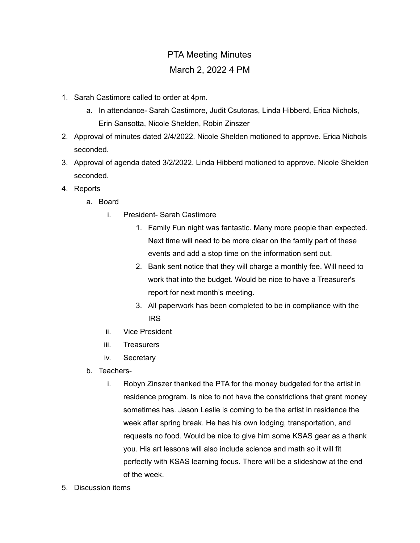## PTA Meeting Minutes March 2, 2022 4 PM

- 1. Sarah Castimore called to order at 4pm.
	- a. In attendance- Sarah Castimore, Judit Csutoras, Linda Hibberd, Erica Nichols, Erin Sansotta, Nicole Shelden, Robin Zinszer
- 2. Approval of minutes dated 2/4/2022. Nicole Shelden motioned to approve. Erica Nichols seconded.
- 3. Approval of agenda dated 3/2/2022. Linda Hibberd motioned to approve. Nicole Shelden seconded.
- 4. Reports
	- a. Board
		- i. President- Sarah Castimore
			- 1. Family Fun night was fantastic. Many more people than expected. Next time will need to be more clear on the family part of these events and add a stop time on the information sent out.
			- 2. Bank sent notice that they will charge a monthly fee. Will need to work that into the budget. Would be nice to have a Treasurer's report for next month's meeting.
			- 3. All paperwork has been completed to be in compliance with the IRS
		- ii. Vice President
		- iii. Treasurers
		- iv. Secretary
	- b. Teachers
		- i. Robyn Zinszer thanked the PTA for the money budgeted for the artist in residence program. Is nice to not have the constrictions that grant money sometimes has. Jason Leslie is coming to be the artist in residence the week after spring break. He has his own lodging, transportation, and requests no food. Would be nice to give him some KSAS gear as a thank you. His art lessons will also include science and math so it will fit perfectly with KSAS learning focus. There will be a slideshow at the end of the week.
- 5. Discussion items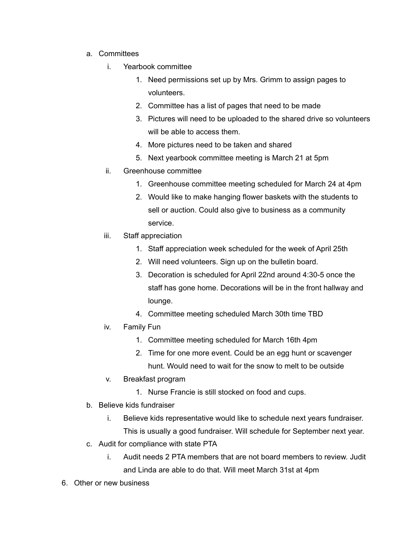- a. Committees
	- i. Yearbook committee
		- 1. Need permissions set up by Mrs. Grimm to assign pages to volunteers.
		- 2. Committee has a list of pages that need to be made
		- 3. Pictures will need to be uploaded to the shared drive so volunteers will be able to access them.
		- 4. More pictures need to be taken and shared
		- 5. Next yearbook committee meeting is March 21 at 5pm
	- ii. Greenhouse committee
		- 1. Greenhouse committee meeting scheduled for March 24 at 4pm
		- 2. Would like to make hanging flower baskets with the students to sell or auction. Could also give to business as a community service.
	- iii. Staff appreciation
		- 1. Staff appreciation week scheduled for the week of April 25th
		- 2. Will need volunteers. Sign up on the bulletin board.
		- 3. Decoration is scheduled for April 22nd around 4:30-5 once the staff has gone home. Decorations will be in the front hallway and lounge.
		- 4. Committee meeting scheduled March 30th time TBD
	- iv. Family Fun
		- 1. Committee meeting scheduled for March 16th 4pm
		- 2. Time for one more event. Could be an egg hunt or scavenger hunt. Would need to wait for the snow to melt to be outside
	- v. Breakfast program
		- 1. Nurse Francie is still stocked on food and cups.
- b. Believe kids fundraiser
	- i. Believe kids representative would like to schedule next years fundraiser. This is usually a good fundraiser. Will schedule for September next year.
- c. Audit for compliance with state PTA
	- i. Audit needs 2 PTA members that are not board members to review. Judit and Linda are able to do that. Will meet March 31st at 4pm
- 6. Other or new business